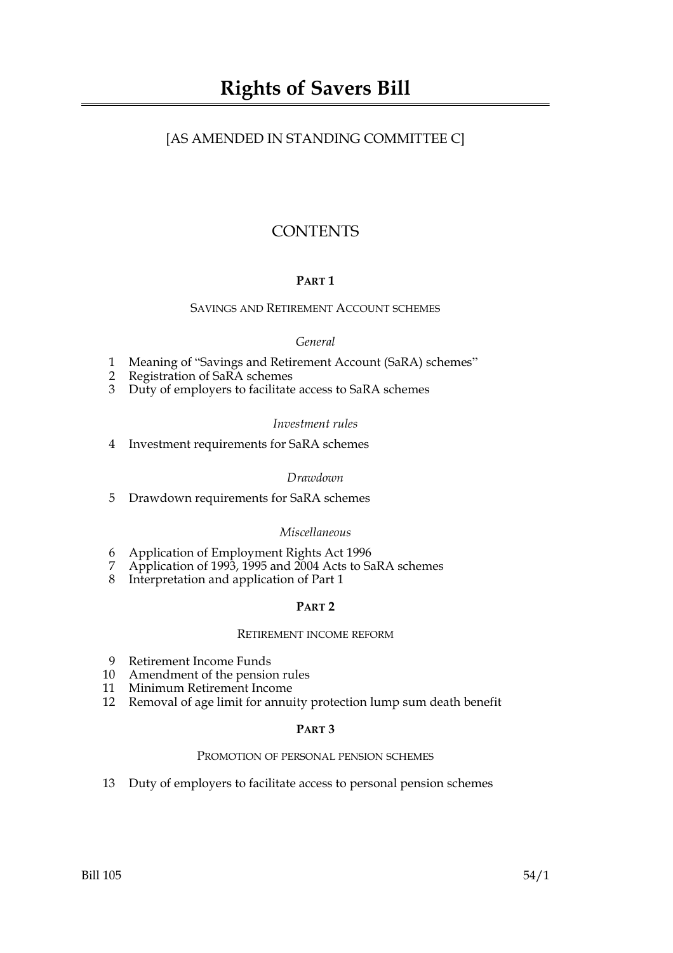# [AS AMENDED IN STANDING COMMITTEE C]

# **CONTENTS**

# **PART 1**

#### SAVINGS AND RETIREMENT ACCOUNT SCHEMES

#### *General*

- 1 Meaning of "Savings and Retirement Account (SaRA) schemes"
- 2 Registration of SaRA schemes
- 3 Duty of employers to facilitate access to SaRA schemes

#### *Investment rules*

4 Investment requirements for SaRA schemes

#### *Drawdown*

5 Drawdown requirements for SaRA schemes

# *Miscellaneous*

- 6 Application of Employment Rights Act 1996
- 7 Application of 1993, 1995 and 2004 Acts to SaRA schemes
- 8 Interpretation and application of Part 1

# **PART 2**

#### RETIREMENT INCOME REFORM

- 9 Retirement Income Funds
- 10 Amendment of the pension rules
- 11 Minimum Retirement Income
- 12 Removal of age limit for annuity protection lump sum death benefit

#### **PART 3**

#### PROMOTION OF PERSONAL PENSION SCHEMES

13 Duty of employers to facilitate access to personal pension schemes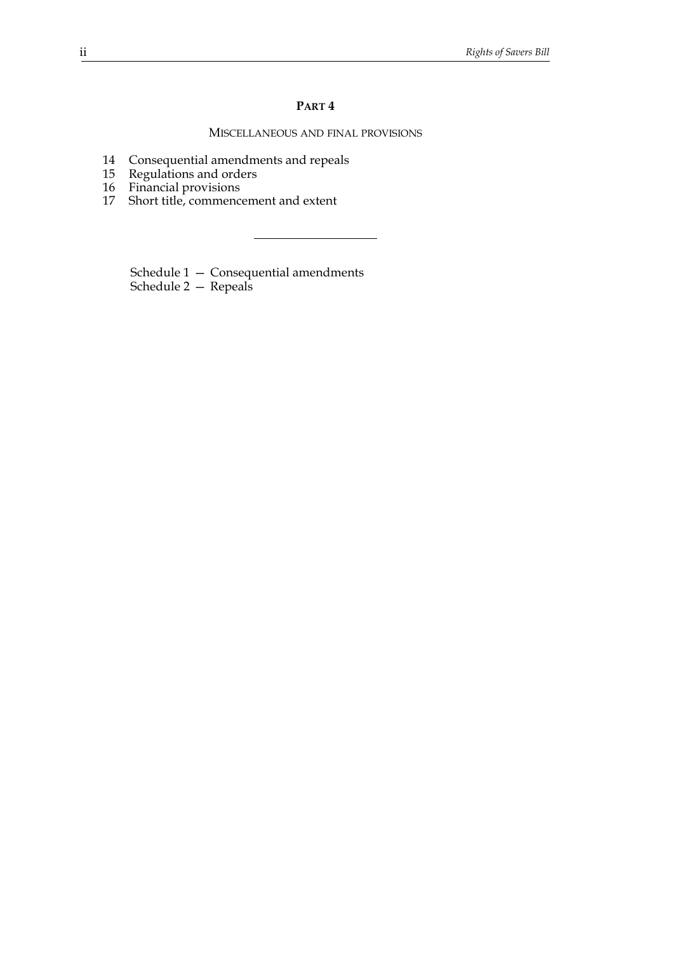#### **PART 4**

#### MISCELLANEOUS AND FINAL PROVISIONS

- 14 Consequential amendments and repeals
- 15 Regulations and orders
- 16 Financial provisions
- 17 Short title, commencement and extent

Schedule 1 — Consequential amendments Schedule 2 — Repeals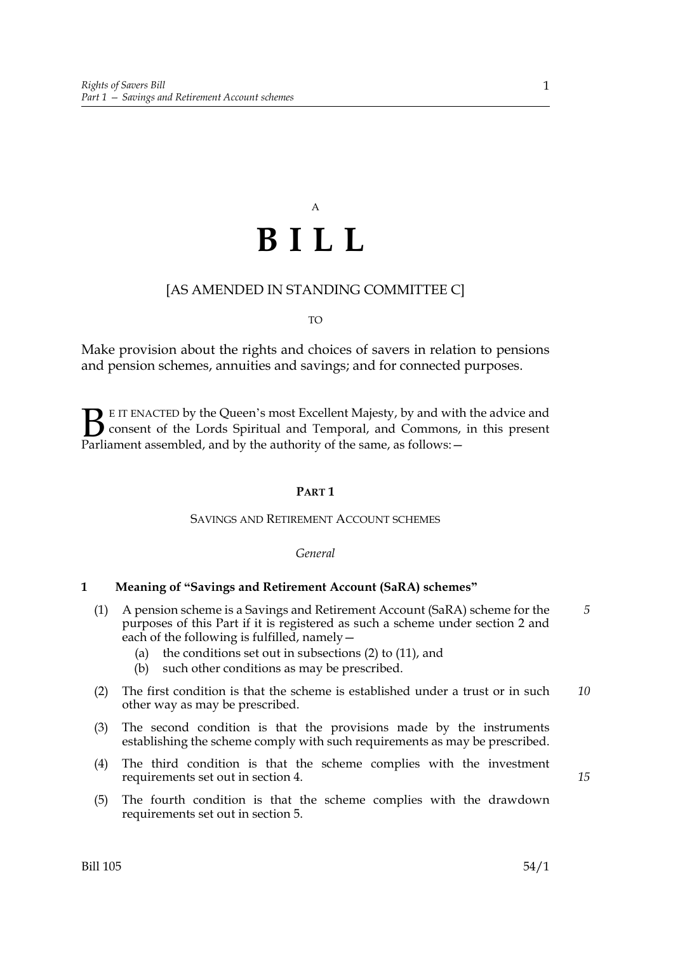# A **BILL**

# [AS AMENDED IN STANDING COMMITTEE C]

TO

Make provision about the rights and choices of savers in relation to pensions and pension schemes, annuities and savings; and for connected purposes.

E IT ENACTED by the Queen's most Excellent Majesty, by and with the advice and consent of the Lords Spiritual and Temporal, and Commons, in this present **B** E IT ENACTED by the Queen's most Excellent Majesty, by and with consent of the Lords Spiritual and Temporal, and Commons, Parliament assembled, and by the authority of the same, as follows:  $-$ 

#### **PART 1**

#### SAVINGS AND RETIREMENT ACCOUNT SCHEMES

*General*

#### **1 Meaning of "Savings and Retirement Account (SaRA) schemes"**

- (1) A pension scheme is a Savings and Retirement Account (SaRA) scheme for the purposes of this Part if it is registered as such a scheme under section 2 and each of the following is fulfilled, namely  $-$ *5*
	- (a) the conditions set out in subsections (2) to (11), and
	- (b) such other conditions as may be prescribed.
- (2) The first condition is that the scheme is established under a trust or in such other way as may be prescribed. *10*
- (3) The second condition is that the provisions made by the instruments establishing the scheme comply with such requirements as may be prescribed.
- (4) The third condition is that the scheme complies with the investment requirements set out in section 4.
- (5) The fourth condition is that the scheme complies with the drawdown requirements set out in section 5.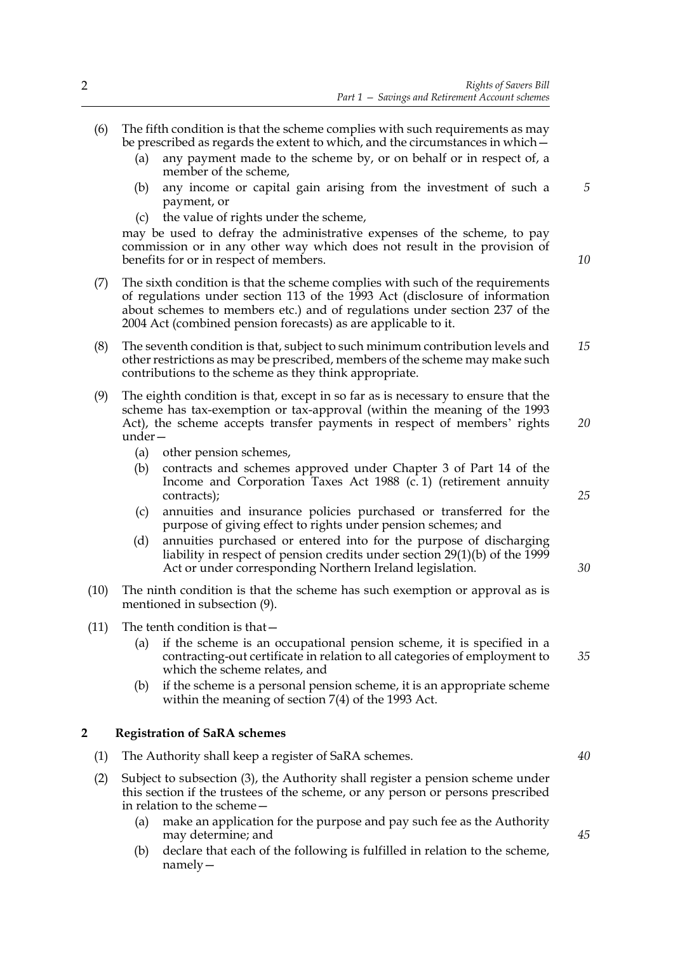- (6) The fifth condition is that the scheme complies with such requirements as may be prescribed as regards the extent to which, and the circumstances in which— (a) any payment made to the scheme by, or on behalf or in respect of, a member of the scheme,
	- (b) any income or capital gain arising from the investment of such a payment, or
	- (c) the value of rights under the scheme,

may be used to defray the administrative expenses of the scheme, to pay commission or in any other way which does not result in the provision of benefits for or in respect of members.

- (7) The sixth condition is that the scheme complies with such of the requirements of regulations under section 113 of the 1993 Act (disclosure of information about schemes to members etc.) and of regulations under section 237 of the 2004 Act (combined pension forecasts) as are applicable to it.
- (8) The seventh condition is that, subject to such minimum contribution levels and other restrictions as may be prescribed, members of the scheme may make such contributions to the scheme as they think appropriate. *15*
- (9) The eighth condition is that, except in so far as is necessary to ensure that the scheme has tax-exemption or tax-approval (within the meaning of the 1993 Act), the scheme accepts transfer payments in respect of members' rights under— *20*
	- (a) other pension schemes,
	- (b) contracts and schemes approved under Chapter 3 of Part 14 of the Income and Corporation Taxes Act 1988 (c. 1) (retirement annuity contracts);
	- (c) annuities and insurance policies purchased or transferred for the purpose of giving effect to rights under pension schemes; and
	- (d) annuities purchased or entered into for the purpose of discharging liability in respect of pension credits under section 29(1)(b) of the 1999 Act or under corresponding Northern Ireland legislation.
- (10) The ninth condition is that the scheme has such exemption or approval as is mentioned in subsection (9).
- (11) The tenth condition is that—
	- (a) if the scheme is an occupational pension scheme, it is specified in a contracting-out certificate in relation to all categories of employment to which the scheme relates, and
	- (b) if the scheme is a personal pension scheme, it is an appropriate scheme within the meaning of section 7(4) of the 1993 Act.

#### **2 Registration of SaRA schemes**

- (1) The Authority shall keep a register of SaRA schemes.
- (2) Subject to subsection (3), the Authority shall register a pension scheme under this section if the trustees of the scheme, or any person or persons prescribed in relation to the scheme—
	- (a) make an application for the purpose and pay such fee as the Authority may determine; and
	- (b) declare that each of the following is fulfilled in relation to the scheme, namely—

*10*

*5*

*25*

*30*

*35*

*40*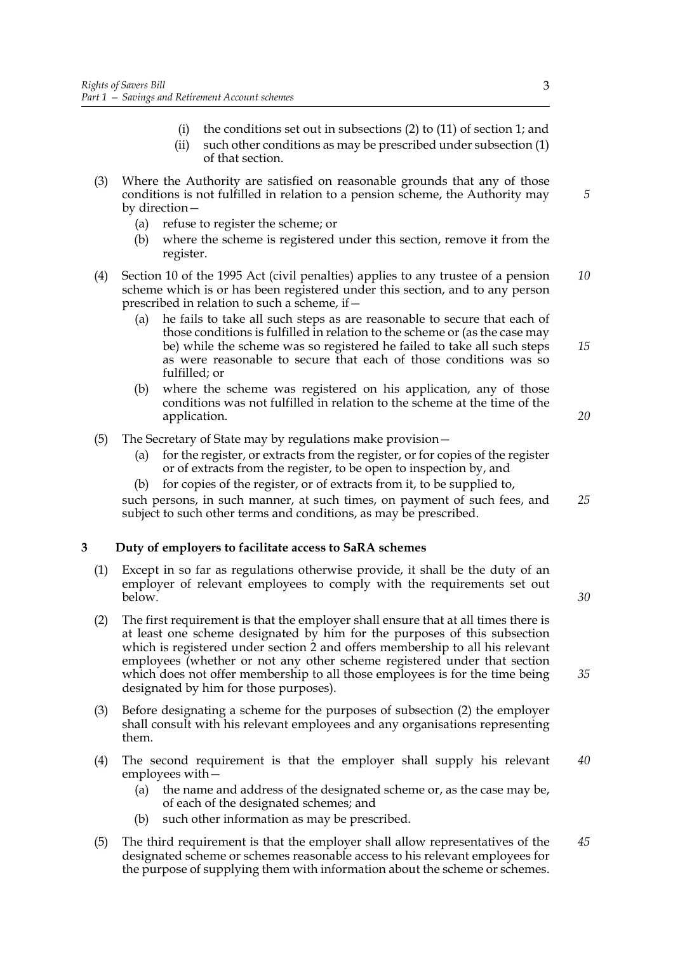- (i) the conditions set out in subsections  $(2)$  to  $(11)$  of section 1; and (ii) such other conditions as may be prescribed under subsection (1)
- of that section.
- (3) Where the Authority are satisfied on reasonable grounds that any of those conditions is not fulfilled in relation to a pension scheme, the Authority may by direction—
	- (a) refuse to register the scheme; or
	- (b) where the scheme is registered under this section, remove it from the register.
- (4) Section 10 of the 1995 Act (civil penalties) applies to any trustee of a pension scheme which is or has been registered under this section, and to any person prescribed in relation to such a scheme, if— *10*
	- (a) he fails to take all such steps as are reasonable to secure that each of those conditions is fulfilled in relation to the scheme or (as the case may be) while the scheme was so registered he failed to take all such steps as were reasonable to secure that each of those conditions was so fulfilled; or *15*
	- (b) where the scheme was registered on his application, any of those conditions was not fulfilled in relation to the scheme at the time of the application.
- (5) The Secretary of State may by regulations make provision—
	- (a) for the register, or extracts from the register, or for copies of the register or of extracts from the register, to be open to inspection by, and
	- (b) for copies of the register, or of extracts from it, to be supplied to,

such persons, in such manner, at such times, on payment of such fees, and subject to such other terms and conditions, as may be prescribed. *25*

# **3 Duty of employers to facilitate access to SaRA schemes**

- (1) Except in so far as regulations otherwise provide, it shall be the duty of an employer of relevant employees to comply with the requirements set out below.
- (2) The first requirement is that the employer shall ensure that at all times there is at least one scheme designated by him for the purposes of this subsection which is registered under section 2 and offers membership to all his relevant employees (whether or not any other scheme registered under that section which does not offer membership to all those employees is for the time being designated by him for those purposes).
- (3) Before designating a scheme for the purposes of subsection (2) the employer shall consult with his relevant employees and any organisations representing them.
- (4) The second requirement is that the employer shall supply his relevant employees with— *40*
	- (a) the name and address of the designated scheme or, as the case may be, of each of the designated schemes; and
	- (b) such other information as may be prescribed.
- (5) The third requirement is that the employer shall allow representatives of the designated scheme or schemes reasonable access to his relevant employees for the purpose of supplying them with information about the scheme or schemes. *45*

*5*

*20*

*30*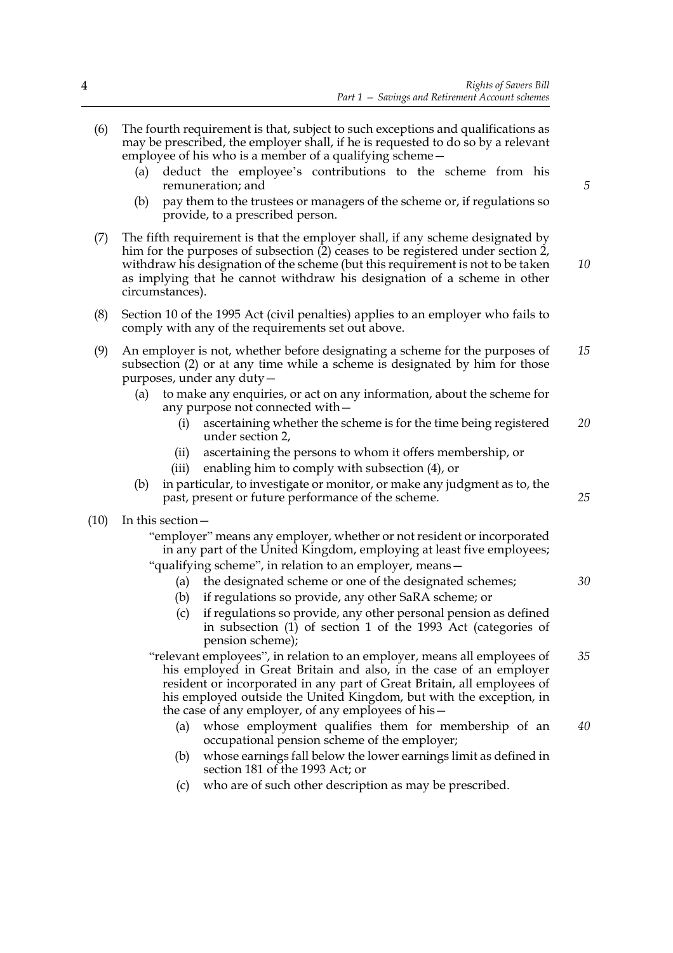- (6) The fourth requirement is that, subject to such exceptions and qualifications as may be prescribed, the employer shall, if he is requested to do so by a relevant employee of his who is a member of a qualifying scheme— (a) deduct the employee's contributions to the scheme from his remuneration; and (b) pay them to the trustees or managers of the scheme or, if regulations so provide, to a prescribed person. (7) The fifth requirement is that the employer shall, if any scheme designated by him for the purposes of subsection (2) ceases to be registered under section 2, withdraw his designation of the scheme (but this requirement is not to be taken as implying that he cannot withdraw his designation of a scheme in other circumstances). (8) Section 10 of the 1995 Act (civil penalties) applies to an employer who fails to comply with any of the requirements set out above. (9) An employer is not, whether before designating a scheme for the purposes of subsection (2) or at any time while a scheme is designated by him for those purposes, under any duty— (a) to make any enquiries, or act on any information, about the scheme for any purpose not connected with— (i) ascertaining whether the scheme is for the time being registered under section 2, (ii) ascertaining the persons to whom it offers membership, or (iii) enabling him to comply with subsection (4), or (b) in particular, to investigate or monitor, or make any judgment as to, the past, present or future performance of the scheme. (10) In this section— "employer" means any employer, whether or not resident or incorporated in any part of the United Kingdom, employing at least five employees; "qualifying scheme", in relation to an employer, means— (a) the designated scheme or one of the designated schemes; (b) if regulations so provide, any other SaRA scheme; or (c) if regulations so provide, any other personal pension as defined in subsection (1) of section 1 of the 1993 Act (categories of pension scheme); "relevant employees", in relation to an employer, means all employees of his employed in Great Britain and also, in the case of an employer resident or incorporated in any part of Great Britain, all employees of his employed outside the United Kingdom, but with the exception, in the case of any employer, of any employees of his— (a) whose employment qualifies them for membership of an occupational pension scheme of the employer; (b) whose earnings fall below the lower earnings limit as defined in section 181 of the 1993 Act; or *5 10 15 20 25 30 35 40*
	- (c) who are of such other description as may be prescribed.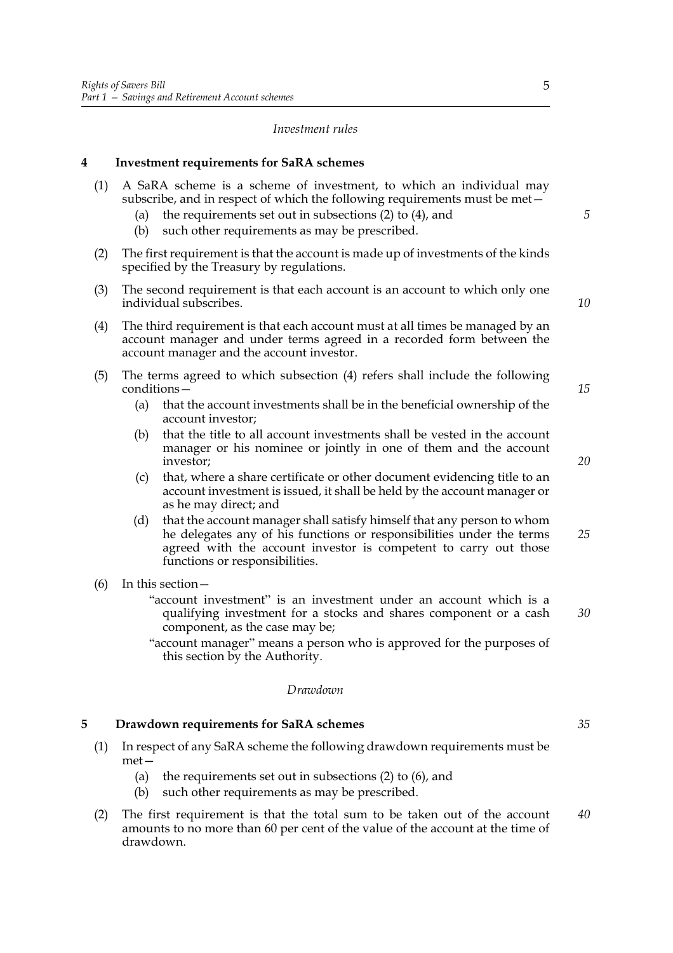#### *Investment rules*

#### **4 Investment requirements for SaRA schemes**

- (1) A SaRA scheme is a scheme of investment, to which an individual may subscribe, and in respect of which the following requirements must be met—
	- (a) the requirements set out in subsections (2) to (4), and
	- (b) such other requirements as may be prescribed.
- (2) The first requirement is that the account is made up of investments of the kinds specified by the Treasury by regulations.
- (3) The second requirement is that each account is an account to which only one individual subscribes.
- (4) The third requirement is that each account must at all times be managed by an account manager and under terms agreed in a recorded form between the account manager and the account investor.
- (5) The terms agreed to which subsection (4) refers shall include the following conditions—
	- (a) that the account investments shall be in the beneficial ownership of the account investor;
	- (b) that the title to all account investments shall be vested in the account manager or his nominee or jointly in one of them and the account investor;
	- (c) that, where a share certificate or other document evidencing title to an account investment is issued, it shall be held by the account manager or as he may direct; and
	- (d) that the account manager shall satisfy himself that any person to whom he delegates any of his functions or responsibilities under the terms agreed with the account investor is competent to carry out those functions or responsibilities. *25*
- (6) In this section—
	- "account investment" is an investment under an account which is a qualifying investment for a stocks and shares component or a cash component, as the case may be;
	- "account manager" means a person who is approved for the purposes of this section by the Authority.

#### *Drawdown*

#### **5 Drawdown requirements for SaRA schemes**

- (1) In respect of any SaRA scheme the following drawdown requirements must be met—
	- (a) the requirements set out in subsections (2) to (6), and
	- (b) such other requirements as may be prescribed.
- (2) The first requirement is that the total sum to be taken out of the account amounts to no more than 60 per cent of the value of the account at the time of drawdown. *40*

*20*

*15*

*5*

*10*

*35*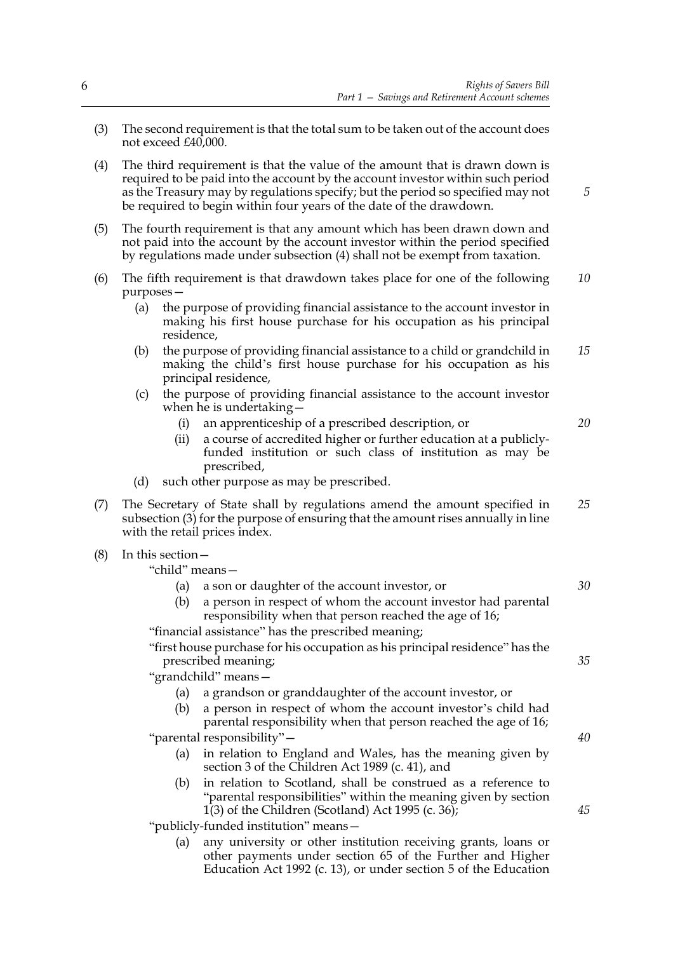- (3) The second requirement is that the total sum to be taken out of the account does not exceed £40,000.
- (4) The third requirement is that the value of the amount that is drawn down is required to be paid into the account by the account investor within such period as the Treasury may by regulations specify; but the period so specified may not be required to begin within four years of the date of the drawdown.
- (5) The fourth requirement is that any amount which has been drawn down and not paid into the account by the account investor within the period specified by regulations made under subsection (4) shall not be exempt from taxation.
- (6) The fifth requirement is that drawdown takes place for one of the following purposes— *10*
	- (a) the purpose of providing financial assistance to the account investor in making his first house purchase for his occupation as his principal residence,
	- (b) the purpose of providing financial assistance to a child or grandchild in making the child's first house purchase for his occupation as his principal residence, *15*
	- (c) the purpose of providing financial assistance to the account investor when he is undertaking—
		- (i) an apprenticeship of a prescribed description, or
		- (ii) a course of accredited higher or further education at a publiclyfunded institution or such class of institution as may be prescribed,
	- (d) such other purpose as may be prescribed.
- (7) The Secretary of State shall by regulations amend the amount specified in subsection (3) for the purpose of ensuring that the amount rises annually in line with the retail prices index. *25*
- (8) In this section—
	- "child" means—
		- (a) a son or daughter of the account investor, or *30*
		- (b) a person in respect of whom the account investor had parental responsibility when that person reached the age of 16;

"financial assistance" has the prescribed meaning;

"first house purchase for his occupation as his principal residence" has the prescribed meaning;

"grandchild" means—

- (a) a grandson or granddaughter of the account investor, or
- (b) a person in respect of whom the account investor's child had parental responsibility when that person reached the age of 16;

"parental responsibility"—

- (a) in relation to England and Wales, has the meaning given by section 3 of the Children Act 1989 (c. 41), and
- (b) in relation to Scotland, shall be construed as a reference to "parental responsibilities" within the meaning given by section 1(3) of the Children (Scotland) Act 1995 (c. 36);

"publicly-funded institution" means—

(a) any university or other institution receiving grants, loans or other payments under section 65 of the Further and Higher Education Act 1992 (c. 13), or under section 5 of the Education

*45*

*40*

*35*

*5*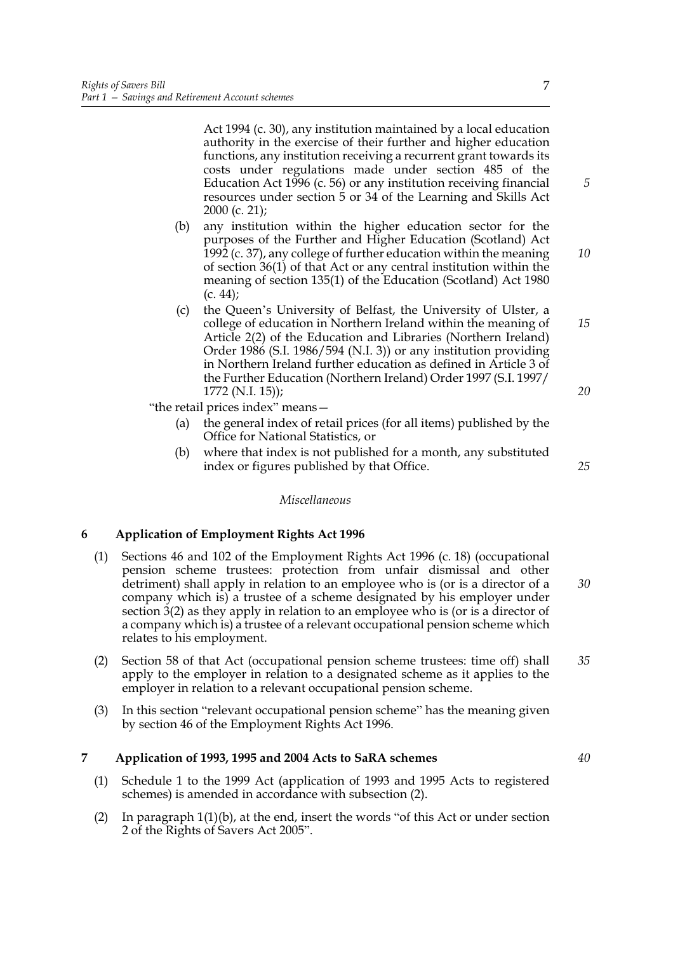Act 1994 (c. 30), any institution maintained by a local education authority in the exercise of their further and higher education functions, any institution receiving a recurrent grant towards its costs under regulations made under section 485 of the Education Act 1996 (c. 56) or any institution receiving financial resources under section 5 or 34 of the Learning and Skills Act 2000 (c. 21);

- (b) any institution within the higher education sector for the purposes of the Further and Higher Education (Scotland) Act 1992 (c. 37), any college of further education within the meaning of section 36(1) of that Act or any central institution within the meaning of section 135(1) of the Education (Scotland) Act 1980  $(c. 44)$ ;
- (c) the Queen's University of Belfast, the University of Ulster, a college of education in Northern Ireland within the meaning of Article 2(2) of the Education and Libraries (Northern Ireland) Order 1986 (S.I. 1986/594 (N.I. 3)) or any institution providing in Northern Ireland further education as defined in Article 3 of the Further Education (Northern Ireland) Order 1997 (S.I. 1997/ 1772 (N.I. 15));

"the retail prices index" means—

- (a) the general index of retail prices (for all items) published by the Office for National Statistics, or
- (b) where that index is not published for a month, any substituted index or figures published by that Office.

*Miscellaneous*

# **6 Application of Employment Rights Act 1996**

- (1) Sections 46 and 102 of the Employment Rights Act 1996 (c. 18) (occupational pension scheme trustees: protection from unfair dismissal and other detriment) shall apply in relation to an employee who is (or is a director of a company which is) a trustee of a scheme designated by his employer under section 3(2) as they apply in relation to an employee who is (or is a director of a company which is) a trustee of a relevant occupational pension scheme which relates to his employment. *30*
- (2) Section 58 of that Act (occupational pension scheme trustees: time off) shall apply to the employer in relation to a designated scheme as it applies to the employer in relation to a relevant occupational pension scheme.
- (3) In this section "relevant occupational pension scheme" has the meaning given by section 46 of the Employment Rights Act 1996.

#### **7 Application of 1993, 1995 and 2004 Acts to SaRA schemes**

- (1) Schedule 1 to the 1999 Act (application of 1993 and 1995 Acts to registered schemes) is amended in accordance with subsection (2).
- (2) In paragraph 1(1)(b), at the end, insert the words "of this Act or under section 2 of the Rights of Savers Act 2005".

#### 7

*10*

*5*

*15*

*20*

*25*

*35*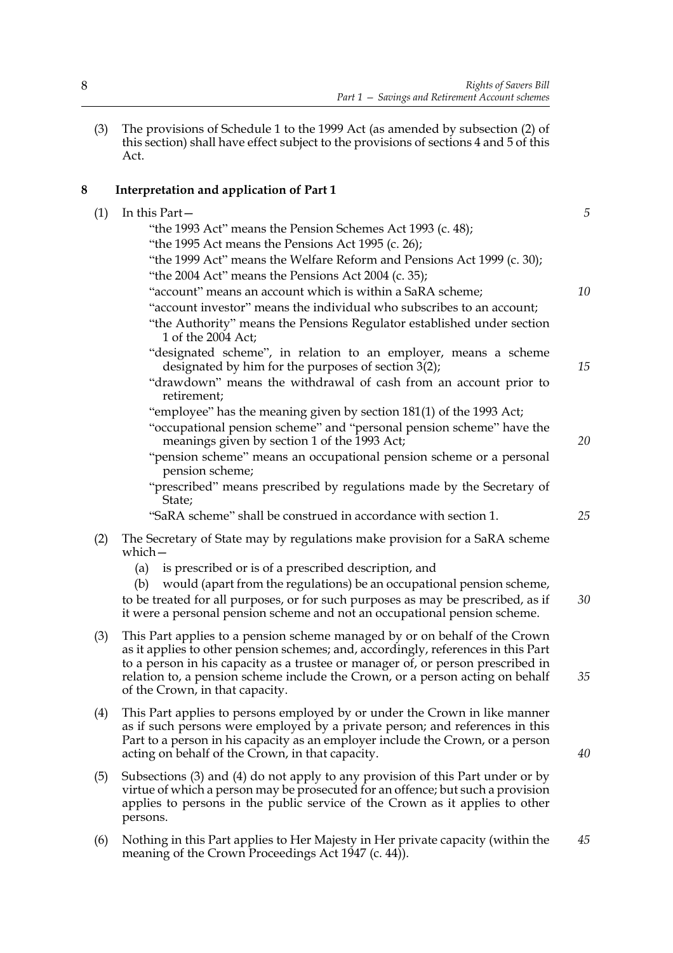(3) The provisions of Schedule 1 to the 1999 Act (as amended by subsection (2) of this section) shall have effect subject to the provisions of sections 4 and 5 of this Act.

# **8 Interpretation and application of Part 1**

| (1) | In this Part-                                                                                                                                                                                                                                         | 5  |
|-----|-------------------------------------------------------------------------------------------------------------------------------------------------------------------------------------------------------------------------------------------------------|----|
|     | "the 1993 Act" means the Pension Schemes Act 1993 (c. 48);                                                                                                                                                                                            |    |
|     | "the 1995 Act means the Pensions Act 1995 (c. 26);                                                                                                                                                                                                    |    |
|     | "the 1999 Act" means the Welfare Reform and Pensions Act 1999 (c. 30);                                                                                                                                                                                |    |
|     | "the 2004 Act" means the Pensions Act 2004 (c. 35);                                                                                                                                                                                                   |    |
|     | "account" means an account which is within a SaRA scheme;                                                                                                                                                                                             | 10 |
|     | "account investor" means the individual who subscribes to an account;                                                                                                                                                                                 |    |
|     | "the Authority" means the Pensions Regulator established under section<br>1 of the 2004 Act:                                                                                                                                                          |    |
|     | "designated scheme", in relation to an employer, means a scheme<br>designated by him for the purposes of section $3(2)$ ;                                                                                                                             | 15 |
|     | "drawdown" means the withdrawal of cash from an account prior to<br>retirement;                                                                                                                                                                       |    |
|     | "employee" has the meaning given by section 181(1) of the 1993 Act;                                                                                                                                                                                   |    |
|     | "occupational pension scheme" and "personal pension scheme" have the<br>meanings given by section 1 of the 1993 Act;                                                                                                                                  | 20 |
|     | "pension scheme" means an occupational pension scheme or a personal<br>pension scheme;                                                                                                                                                                |    |
|     | "prescribed" means prescribed by regulations made by the Secretary of<br>State;                                                                                                                                                                       |    |
|     | "SaRA scheme" shall be construed in accordance with section 1.                                                                                                                                                                                        | 25 |
| (2) | The Secretary of State may by regulations make provision for a SaRA scheme<br>which-                                                                                                                                                                  |    |
|     | is prescribed or is of a prescribed description, and<br>(a)                                                                                                                                                                                           |    |
|     | would (apart from the regulations) be an occupational pension scheme,<br>(b)                                                                                                                                                                          |    |
|     | to be treated for all purposes, or for such purposes as may be prescribed, as if<br>it were a personal pension scheme and not an occupational pension scheme.                                                                                         | 30 |
|     |                                                                                                                                                                                                                                                       |    |
| (3) | This Part applies to a pension scheme managed by or on behalf of the Crown<br>as it applies to other pension schemes; and, accordingly, references in this Part                                                                                       |    |
|     | to a person in his capacity as a trustee or manager of, or person prescribed in                                                                                                                                                                       |    |
|     | relation to, a pension scheme include the Crown, or a person acting on behalf                                                                                                                                                                         | 35 |
|     | of the Crown, in that capacity.                                                                                                                                                                                                                       |    |
| (4) | This Part applies to persons employed by or under the Crown in like manner                                                                                                                                                                            |    |
|     | as if such persons were employed by a private person; and references in this                                                                                                                                                                          |    |
|     | Part to a person in his capacity as an employer include the Crown, or a person                                                                                                                                                                        | 40 |
|     | acting on behalf of the Crown, in that capacity.                                                                                                                                                                                                      |    |
| (5) | Subsections $(3)$ and $(4)$ do not apply to any provision of this Part under or by<br>virtue of which a person may be prosecuted for an offence; but such a provision<br>applies to persons in the public service of the Crown as it applies to other |    |
|     | persons.                                                                                                                                                                                                                                              |    |
| (6) | Nothing in this Part applies to Her Majesty in Her private capacity (within the                                                                                                                                                                       | 45 |

meaning of the Crown Proceedings Act 1947 (c. 44)).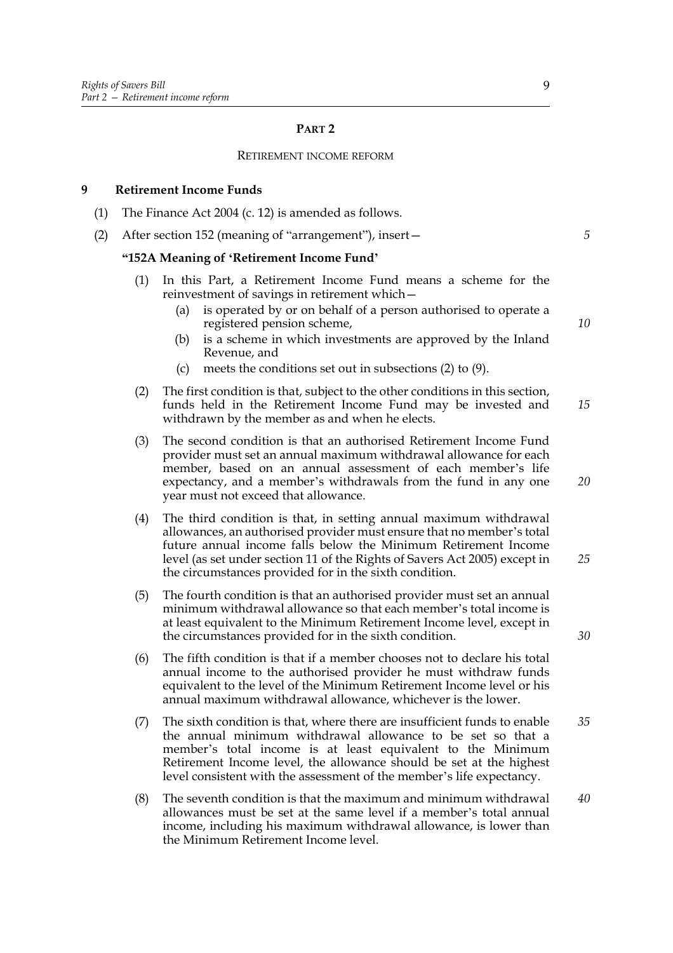#### **PART 2**

#### RETIREMENT INCOME REFORM

#### **9 Retirement Income Funds**

- (1) The Finance Act 2004 (c. 12) is amended as follows.
- (2) After section 152 (meaning of "arrangement"), insert—

#### **"152A Meaning of 'Retirement Income Fund'**

- (1) In this Part, a Retirement Income Fund means a scheme for the reinvestment of savings in retirement which—
	- (a) is operated by or on behalf of a person authorised to operate a registered pension scheme,
	- (b) is a scheme in which investments are approved by the Inland Revenue, and
	- (c) meets the conditions set out in subsections (2) to (9).
- (2) The first condition is that, subject to the other conditions in this section, funds held in the Retirement Income Fund may be invested and withdrawn by the member as and when he elects. *15*
- (3) The second condition is that an authorised Retirement Income Fund provider must set an annual maximum withdrawal allowance for each member, based on an annual assessment of each member's life expectancy, and a member's withdrawals from the fund in any one year must not exceed that allowance.
- (4) The third condition is that, in setting annual maximum withdrawal allowances, an authorised provider must ensure that no member's total future annual income falls below the Minimum Retirement Income level (as set under section 11 of the Rights of Savers Act 2005) except in the circumstances provided for in the sixth condition. *25*
- (5) The fourth condition is that an authorised provider must set an annual minimum withdrawal allowance so that each member's total income is at least equivalent to the Minimum Retirement Income level, except in the circumstances provided for in the sixth condition.
- (6) The fifth condition is that if a member chooses not to declare his total annual income to the authorised provider he must withdraw funds equivalent to the level of the Minimum Retirement Income level or his annual maximum withdrawal allowance, whichever is the lower.
- (7) The sixth condition is that, where there are insufficient funds to enable the annual minimum withdrawal allowance to be set so that a member's total income is at least equivalent to the Minimum Retirement Income level, the allowance should be set at the highest level consistent with the assessment of the member's life expectancy. *35*
- (8) The seventh condition is that the maximum and minimum withdrawal allowances must be set at the same level if a member's total annual income, including his maximum withdrawal allowance, is lower than the Minimum Retirement Income level. *40*

9

*10*

*20*

*30*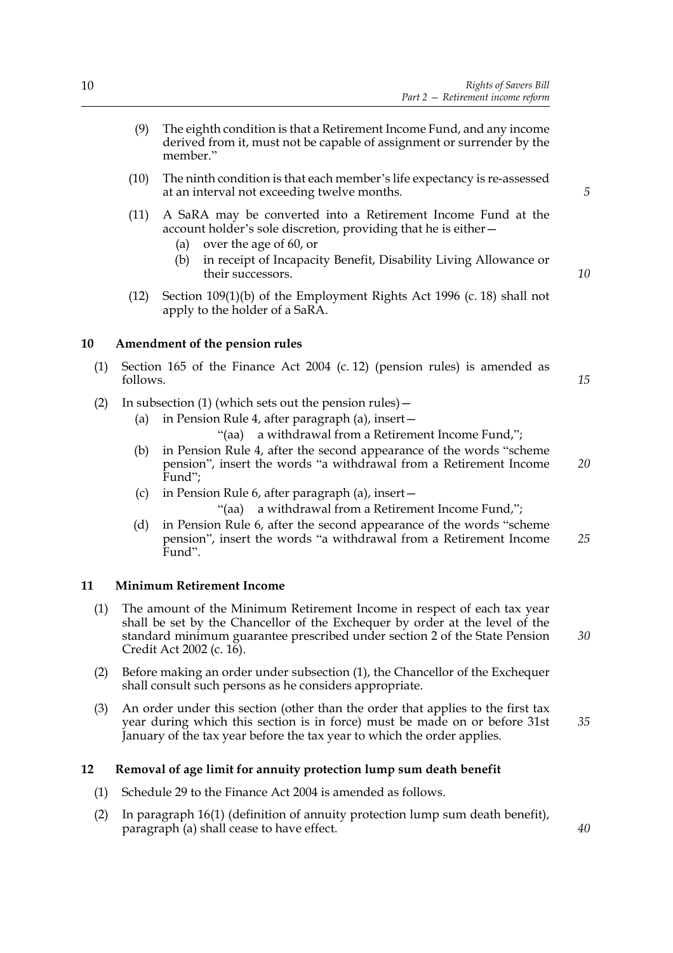- (9) The eighth condition is that a Retirement Income Fund, and any income derived from it, must not be capable of assignment or surrender by the member."
- (10) The ninth condition is that each member's life expectancy is re-assessed at an interval not exceeding twelve months.
- (11) A SaRA may be converted into a Retirement Income Fund at the account holder's sole discretion, providing that he is either—
	- (a) over the age of 60, or
	- (b) in receipt of Incapacity Benefit, Disability Living Allowance or their successors.
- (12) Section 109(1)(b) of the Employment Rights Act 1996 (c. 18) shall not apply to the holder of a SaRA.

#### **10 Amendment of the pension rules**

- (1) Section 165 of the Finance Act 2004 (c. 12) (pension rules) is amended as follows.
- (2) In subsection (1) (which sets out the pension rules)—
	- (a) in Pension Rule 4, after paragraph (a), insert—
		- "(aa) a withdrawal from a Retirement Income Fund,";
	- (b) in Pension Rule 4, after the second appearance of the words "scheme pension", insert the words "a withdrawal from a Retirement Income Fund"; *20*
	- (c) in Pension Rule 6, after paragraph (a), insert—

"(aa) a withdrawal from a Retirement Income Fund,";

(d) in Pension Rule 6, after the second appearance of the words "scheme pension", insert the words "a withdrawal from a Retirement Income Fund". *25*

#### **11 Minimum Retirement Income**

- (1) The amount of the Minimum Retirement Income in respect of each tax year shall be set by the Chancellor of the Exchequer by order at the level of the standard minimum guarantee prescribed under section 2 of the State Pension Credit Act 2002 (c. 16).
- (2) Before making an order under subsection (1), the Chancellor of the Exchequer shall consult such persons as he considers appropriate.
- (3) An order under this section (other than the order that applies to the first tax year during which this section is in force) must be made on or before 31st January of the tax year before the tax year to which the order applies. *35*

#### **12 Removal of age limit for annuity protection lump sum death benefit**

- (1) Schedule 29 to the Finance Act 2004 is amended as follows.
- (2) In paragraph 16(1) (definition of annuity protection lump sum death benefit), paragraph (a) shall cease to have effect.

*5*

*10*

*15*

*30*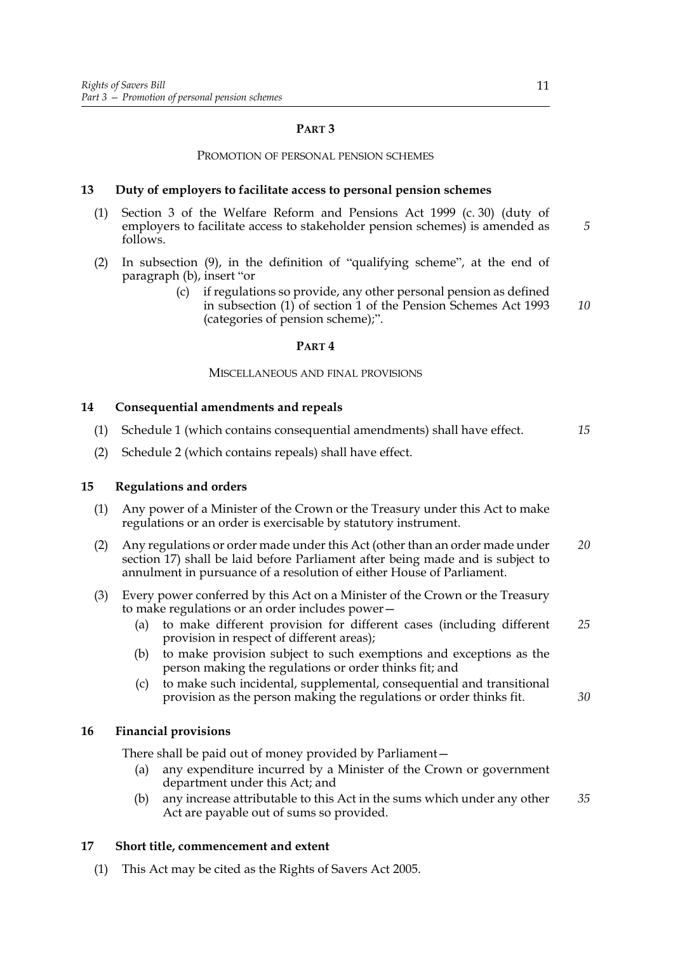#### **PART 3**

#### PROMOTION OF PERSONAL PENSION SCHEMES

#### **13 Duty of employers to facilitate access to personal pension schemes**

- (1) Section 3 of the Welfare Reform and Pensions Act 1999 (c. 30) (duty of employers to facilitate access to stakeholder pension schemes) is amended as follows.
- (2) In subsection (9), in the definition of "qualifying scheme", at the end of paragraph (b), insert "or
	- (c) if regulations so provide, any other personal pension as defined in subsection (1) of section 1 of the Pension Schemes Act 1993 (categories of pension scheme);". *10*

#### **PART 4**

#### MISCELLANEOUS AND FINAL PROVISIONS

#### **14 Consequential amendments and repeals**

- (1) Schedule 1 (which contains consequential amendments) shall have effect. *15*
- (2) Schedule 2 (which contains repeals) shall have effect.

#### **15 Regulations and orders**

- (1) Any power of a Minister of the Crown or the Treasury under this Act to make regulations or an order is exercisable by statutory instrument.
- (2) Any regulations or order made under this Act (other than an order made under section 17) shall be laid before Parliament after being made and is subject to annulment in pursuance of a resolution of either House of Parliament. *20*
- (3) Every power conferred by this Act on a Minister of the Crown or the Treasury to make regulations or an order includes power—
	- (a) to make different provision for different cases (including different provision in respect of different areas); *25*
	- (b) to make provision subject to such exemptions and exceptions as the person making the regulations or order thinks fit; and
	- (c) to make such incidental, supplemental, consequential and transitional provision as the person making the regulations or order thinks fit.

#### **16 Financial provisions**

There shall be paid out of money provided by Parliament—

- (a) any expenditure incurred by a Minister of the Crown or government department under this Act; and
- (b) any increase attributable to this Act in the sums which under any other Act are payable out of sums so provided. *35*

#### **17 Short title, commencement and extent**

(1) This Act may be cited as the Rights of Savers Act 2005.

*5*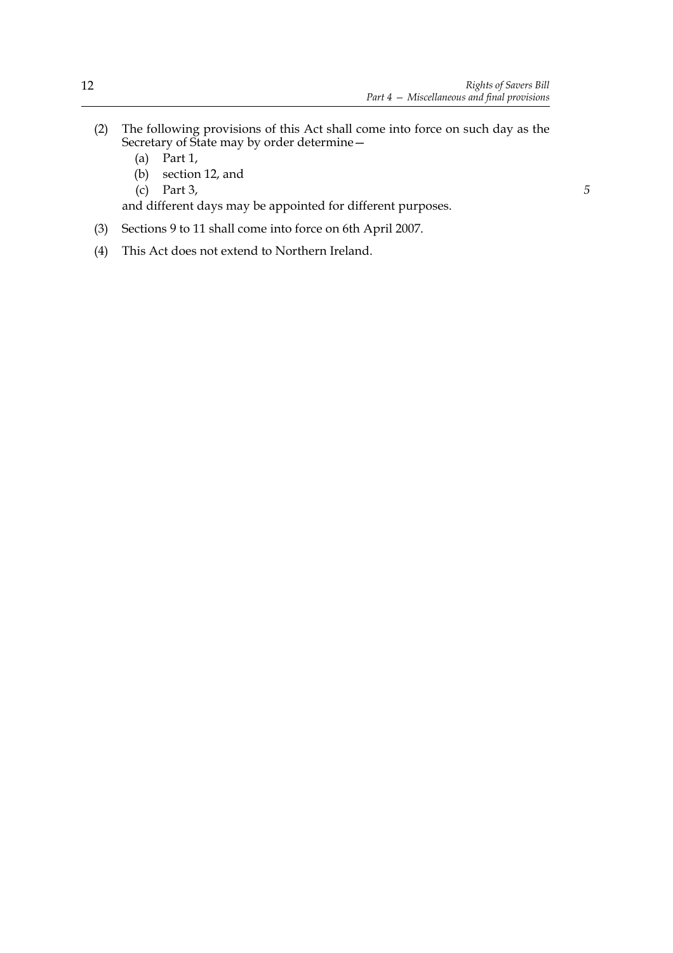*5*

- (2) The following provisions of this Act shall come into force on such day as the Secretary of State may by order determine—
	- (a) Part 1,
	- (b) section 12, and
	- (c) Part 3,

and different days may be appointed for different purposes.

- (3) Sections 9 to 11 shall come into force on 6th April 2007.
- (4) This Act does not extend to Northern Ireland.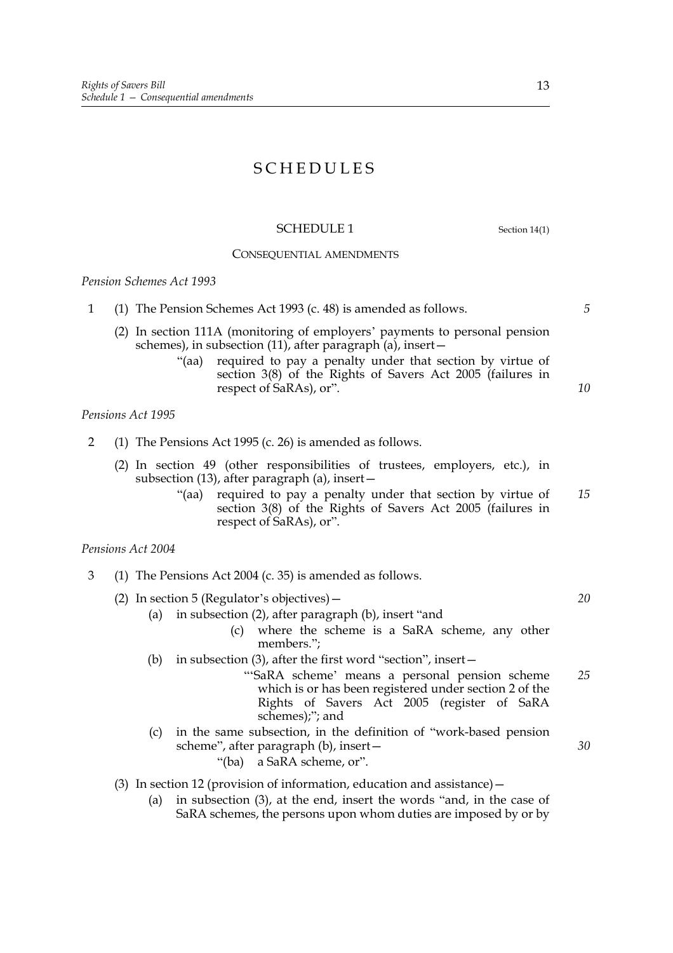# SCHEDULES

#### SCHEDULE 1 Section 14(1)

#### CONSEQUENTIAL AMENDMENTS

*Pension Schemes Act 1993*

- 1 (1) The Pension Schemes Act 1993 (c. 48) is amended as follows.
	- (2) In section 111A (monitoring of employers' payments to personal pension schemes), in subsection (11), after paragraph  $(a)$ , insert –
		- "(aa) required to pay a penalty under that section by virtue of section 3(8) of the Rights of Savers Act 2005 (failures in respect of SaRAs), or".

#### *Pensions Act 1995*

- 2 (1) The Pensions Act 1995 (c. 26) is amended as follows.
	- (2) In section 49 (other responsibilities of trustees, employers, etc.), in subsection (13), after paragraph (a), insert—
		- "(aa) required to pay a penalty under that section by virtue of section 3(8) of the Rights of Savers Act 2005 (failures in respect of SaRAs), or". *15*

#### *Pensions Act 2004*

- 3 (1) The Pensions Act 2004 (c. 35) is amended as follows.
	- (2) In section 5 (Regulator's objectives)—
		- (a) in subsection (2), after paragraph (b), insert "and
			- (c) where the scheme is a SaRA scheme, any other members.";
		- (b) in subsection (3), after the first word "section", insert—
			- "'SaRA scheme' means a personal pension scheme which is or has been registered under section 2 of the Rights of Savers Act 2005 (register of SaRA schemes);"; and *25*
		- (c) in the same subsection, in the definition of "work-based pension scheme", after paragraph (b), insert— "(ba) a SaRA scheme, or".

#### (3) In section 12 (provision of information, education and assistance)—

(a) in subsection (3), at the end, insert the words "and, in the case of SaRA schemes, the persons upon whom duties are imposed by or by *5*

*10*

*30*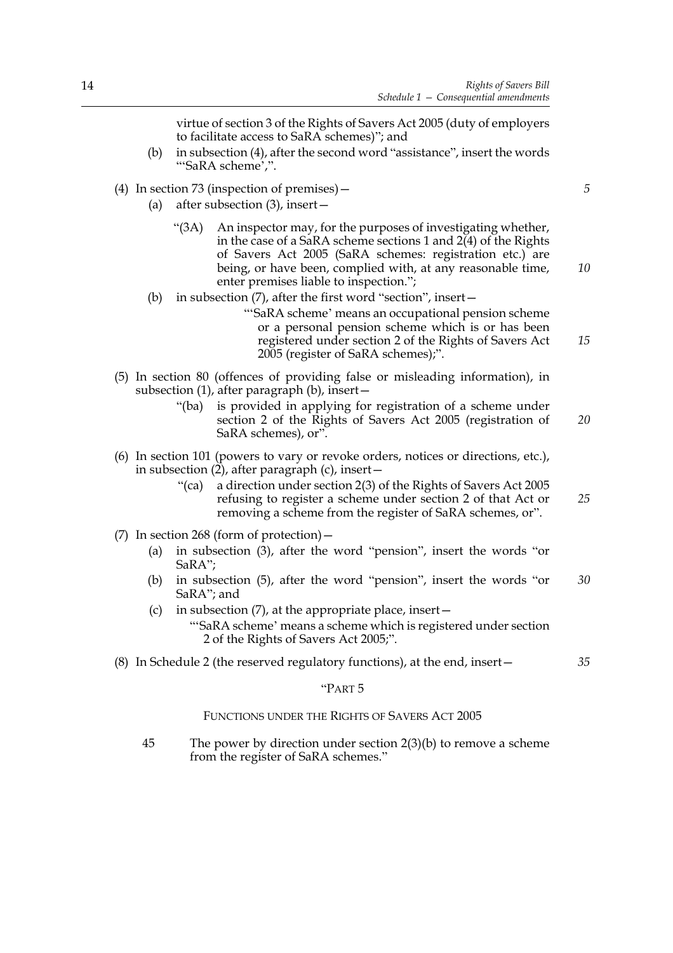virtue of section 3 of the Rights of Savers Act 2005 (duty of employers to facilitate access to SaRA schemes)"; and (b) in subsection (4), after the second word "assistance", insert the words "'SaRA scheme',". (4) In section 73 (inspection of premises)— (a) after subsection (3), insert— "(3A) An inspector may, for the purposes of investigating whether, in the case of a SaRA scheme sections 1 and  $2(4)$  of the Rights of Savers Act 2005 (SaRA schemes: registration etc.) are being, or have been, complied with, at any reasonable time, enter premises liable to inspection."; (b) in subsection (7), after the first word "section", insert— "'SaRA scheme' means an occupational pension scheme or a personal pension scheme which is or has been registered under section 2 of the Rights of Savers Act 2005 (register of SaRA schemes);". (5) In section 80 (offences of providing false or misleading information), in subsection (1), after paragraph (b), insert— "(ba) is provided in applying for registration of a scheme under section 2 of the Rights of Savers Act 2005 (registration of SaRA schemes), or". (6) In section 101 (powers to vary or revoke orders, notices or directions, etc.), in subsection  $(2)$ , after paragraph  $(c)$ , insert – "(ca) a direction under section 2(3) of the Rights of Savers Act 2005 refusing to register a scheme under section 2 of that Act or removing a scheme from the register of SaRA schemes, or". (7) In section 268 (form of protection)— (a) in subsection (3), after the word "pension", insert the words "or SaRA"; (b) in subsection (5), after the word "pension", insert the words "or SaRA"; and (c) in subsection  $(7)$ , at the appropriate place, insert — "'SaRA scheme' means a scheme which is registered under section 2 of the Rights of Savers Act 2005;". (8) In Schedule 2 (the reserved regulatory functions), at the end, insert— *5 10 15 20 25 30 35*

#### "PART 5

#### FUNCTIONS UNDER THE RIGHTS OF SAVERS ACT 2005

45 The power by direction under section 2(3)(b) to remove a scheme from the register of SaRA schemes."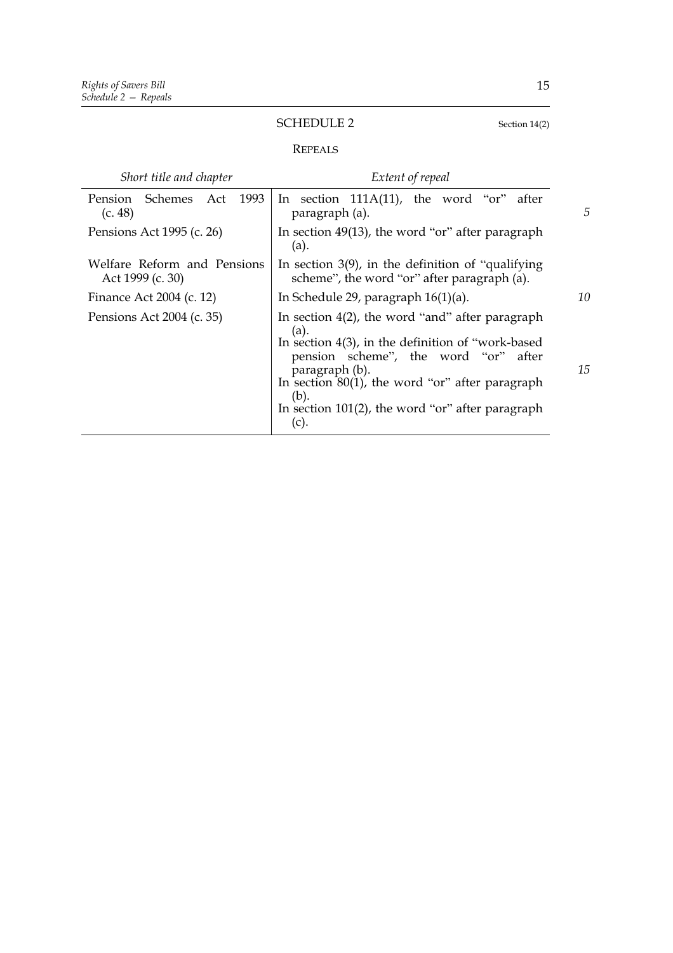# SCHEDULE 2 Section 14(2)

### REPEALS

| Short title and chapter                         | Extent of repeal                                                                                                                                                                                                                                                                                           |   |  |
|-------------------------------------------------|------------------------------------------------------------------------------------------------------------------------------------------------------------------------------------------------------------------------------------------------------------------------------------------------------------|---|--|
| Pension<br>Schemes Act<br>1993<br>(c. 48)       | In section $111A(11)$ , the word "or" after<br>paragraph (a).                                                                                                                                                                                                                                              | 5 |  |
| Pensions Act 1995 (c. 26)                       | In section $49(13)$ , the word "or" after paragraph<br>(a).                                                                                                                                                                                                                                                |   |  |
| Welfare Reform and Pensions<br>Act 1999 (c. 30) | In section $3(9)$ , in the definition of "qualifying"<br>scheme", the word "or" after paragraph (a).                                                                                                                                                                                                       |   |  |
| Finance Act 2004 (c. 12)                        | In Schedule 29, paragraph $16(1)(a)$ .                                                                                                                                                                                                                                                                     |   |  |
| Pensions Act 2004 (c. 35)                       | In section $4(2)$ , the word "and" after paragraph<br>(a).<br>In section $4(3)$ , in the definition of "work-based"<br>pension scheme", the word "or" after<br>paragraph (b).<br>In section $80(1)$ , the word "or" after paragraph<br>(b).<br>In section $101(2)$ , the word "or" after paragraph<br>(c). |   |  |